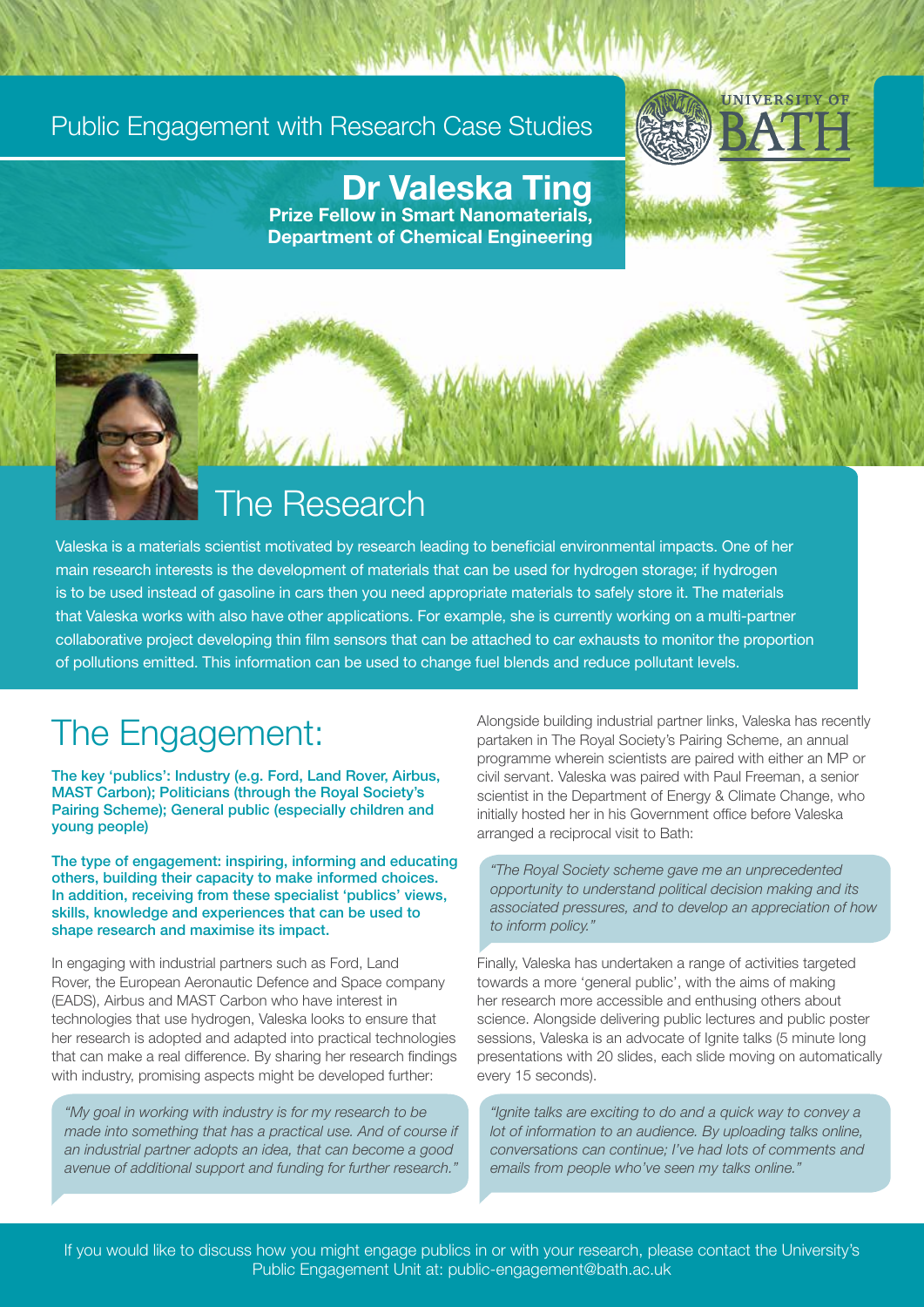#### Public Engagement with Research Case Studies



Dr Valeska Ting Prize Fellow in Smart Nanomaterials,

Department of Chemical Engineering

#### The Research

Valeska is a materials scientist motivated by research leading to beneficial environmental impacts. One of her main research interests is the development of materials that can be used for hydrogen storage; if hydrogen is to be used instead of gasoline in cars then you need appropriate materials to safely store it. The materials that Valeska works with also have other applications. For example, she is currently working on a multi-partner collaborative project developing thin film sensors that can be attached to car exhausts to monitor the proportion of pollutions emitted. This information can be used to change fuel blends and reduce pollutant levels.

### The Engagement:

The key 'publics': Industry (e.g. Ford, Land Rover, Airbus, MAST Carbon); Politicians (through the Royal Society's Pairing Scheme); General public (especially children and young people)

The type of engagement: inspiring, informing and educating others, building their capacity to make informed choices. In addition, receiving from these specialist 'publics' views, skills, knowledge and experiences that can be used to shape research and maximise its impact.

In engaging with industrial partners such as Ford, Land Rover, the European Aeronautic Defence and Space company (EADS), Airbus and MAST Carbon who have interest in technologies that use hydrogen, Valeska looks to ensure that her research is adopted and adapted into practical technologies that can make a real difference. By sharing her research findings with industry, promising aspects might be developed further:

*"My goal in working with industry is for my research to be made into something that has a practical use. And of course if an industrial partner adopts an idea, that can become a good avenue of additional support and funding for further research."*

Alongside building industrial partner links, Valeska has recently partaken in The Royal Society's Pairing Scheme, an annual programme wherein scientists are paired with either an MP or civil servant. Valeska was paired with Paul Freeman, a senior scientist in the Department of Energy & Climate Change, who initially hosted her in his Government office before Valeska arranged a reciprocal visit to Bath:

*"The Royal Society scheme gave me an unprecedented opportunity to understand political decision making and its associated pressures, and to develop an appreciation of how to inform policy."*

Finally, Valeska has undertaken a range of activities targeted towards a more 'general public', with the aims of making her research more accessible and enthusing others about science. Alongside delivering public lectures and public poster sessions, Valeska is an advocate of Ignite talks (5 minute long presentations with 20 slides, each slide moving on automatically every 15 seconds).

*"Ignite talks are exciting to do and a quick way to convey a lot of information to an audience. By uploading talks online, conversations can continue; I've had lots of comments and emails from people who've seen my talks online."* 

If you would like to discuss how you might engage publics in or with your research, please contact the University's Public Engagement Unit at: public-engagement@bath.ac.uk